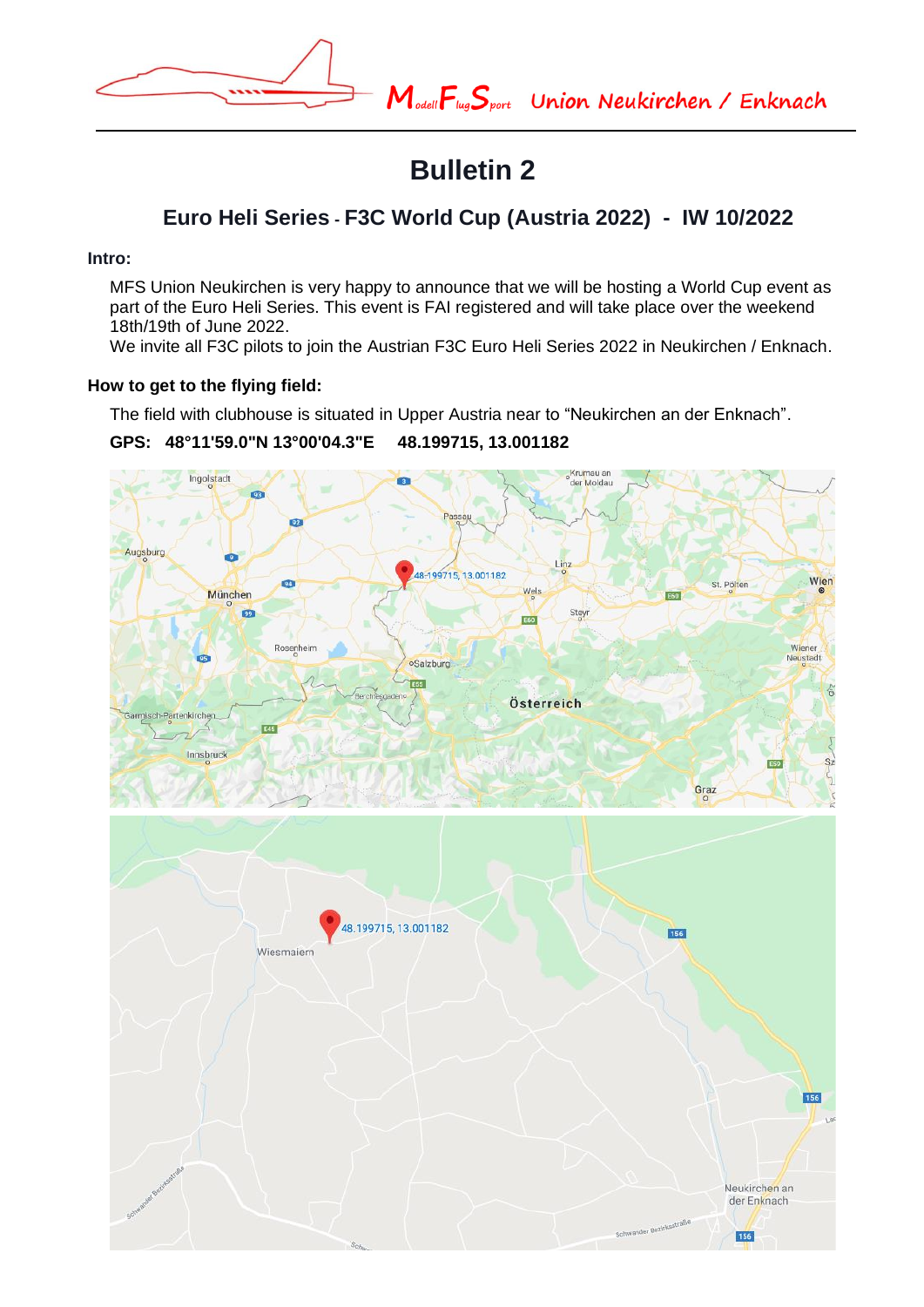

# **Bulletin 2**

# **Euro Heli Series - F3C World Cup (Austria 2022) - IW 10/2022**

# **Intro:**

MFS Union Neukirchen is very happy to announce that we will be hosting a World Cup event as part of the Euro Heli Series. This event is FAI registered and will take place over the weekend 18th/19th of June 2022.

We invite all F3C pilots to join the Austrian F3C Euro Heli Series 2022 in Neukirchen / Enknach.

# **How to get to the flying field:**

The field with clubhouse is situated in Upper Austria near to "Neukirchen an der Enknach".

# **GPS: 48°11'59.0"N 13°00'04.3"E 48.199715, 13.001182**

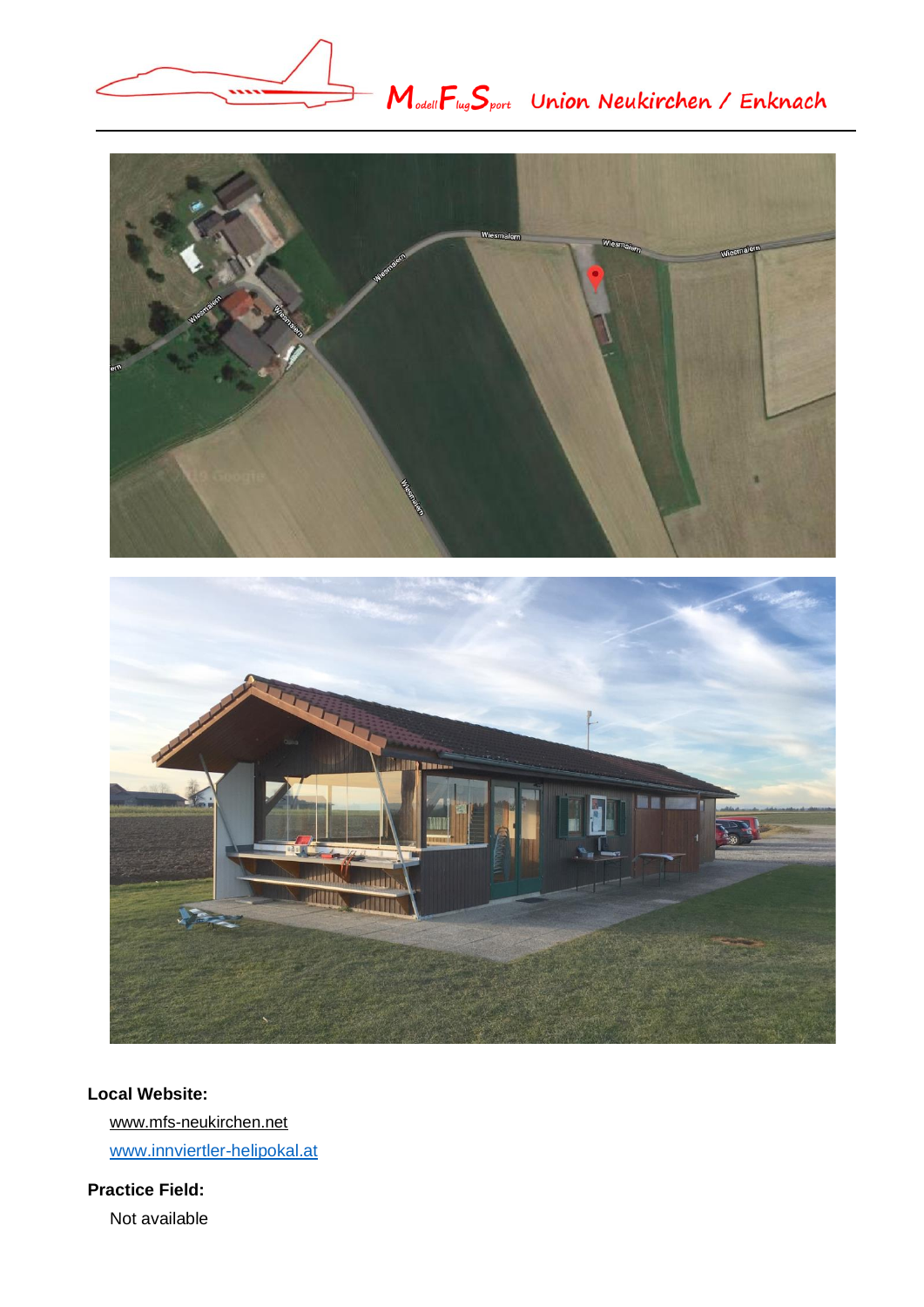





# **Local Website:**

[www.mfs-neukirchen.net](http://www.mfs-neukirchen.net/) [www.innviertler-helipokal.at](http://innviertler-helipokal.at/)

**Practice Field:** 

Not available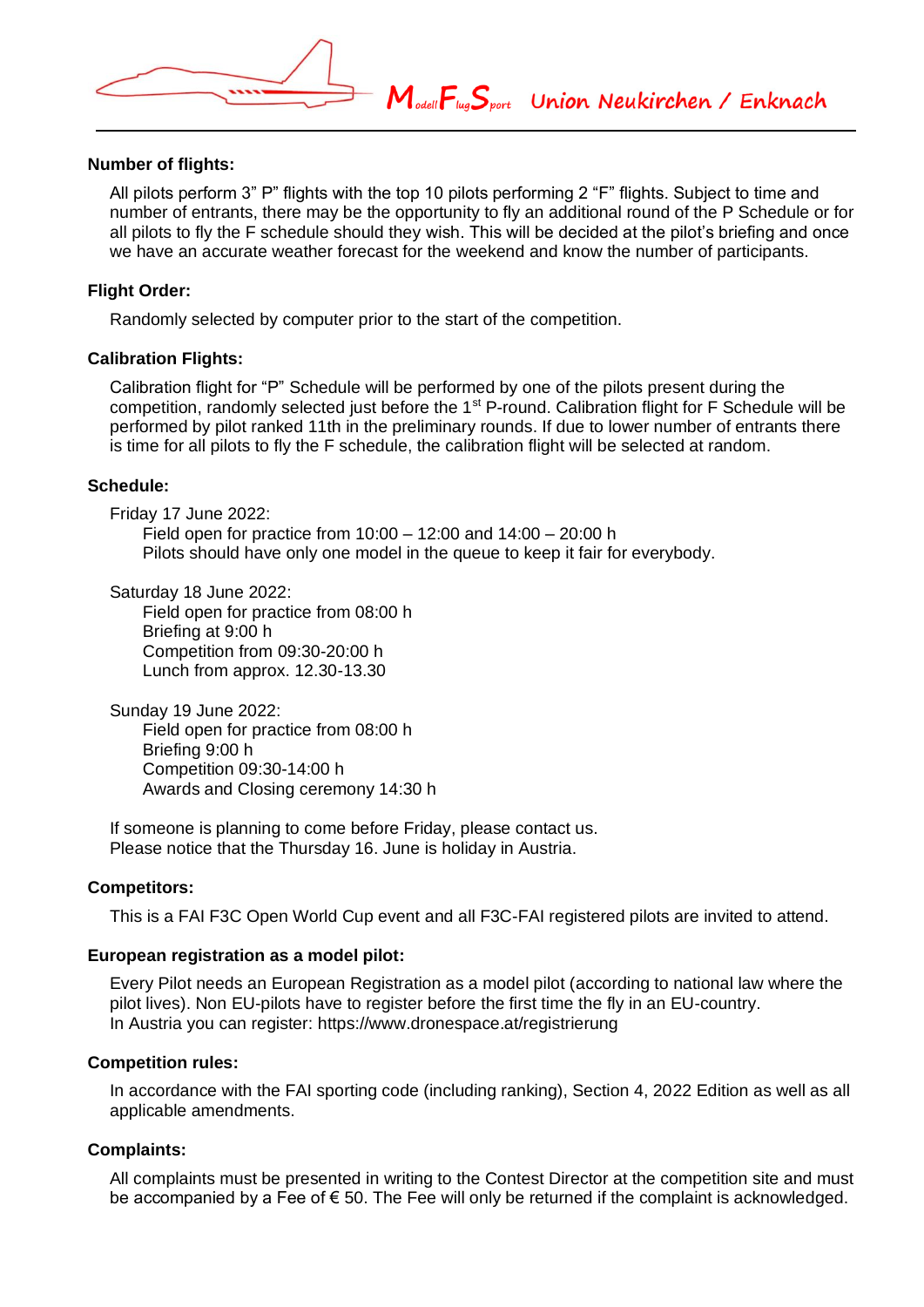$M_{odd}F_{lag}S_{port}$  Union Neukirchen / Enknach

#### **Number of flights:**

All pilots perform 3" P" flights with the top 10 pilots performing 2 "F" flights. Subject to time and number of entrants, there may be the opportunity to fly an additional round of the P Schedule or for all pilots to fly the F schedule should they wish. This will be decided at the pilot's briefing and once we have an accurate weather forecast for the weekend and know the number of participants.

## **Flight Order:**

Randomly selected by computer prior to the start of the competition.

#### **Calibration Flights:**

Calibration flight for "P" Schedule will be performed by one of the pilots present during the competition, randomly selected just before the 1<sup>st</sup> P-round. Calibration flight for F Schedule will be performed by pilot ranked 11th in the preliminary rounds. If due to lower number of entrants there is time for all pilots to fly the F schedule, the calibration flight will be selected at random.

#### **Schedule:**

Friday 17 June 2022:

Field open for practice from 10:00 – 12:00 and 14:00 – 20:00 h Pilots should have only one model in the queue to keep it fair for everybody.

Saturday 18 June 2022: Field open for practice from 08:00 h Briefing at 9:00 h Competition from 09:30-20:00 h Lunch from approx. 12.30-13.30

Sunday 19 June 2022: Field open for practice from 08:00 h Briefing 9:00 h Competition 09:30-14:00 h Awards and Closing ceremony 14:30 h

If someone is planning to come before Friday, please contact us. Please notice that the Thursday 16. June is holiday in Austria.

#### **Competitors:**

This is a FAI F3C Open World Cup event and all F3C-FAI registered pilots are invited to attend.

#### **European registration as a model pilot:**

Every Pilot needs an European Registration as a model pilot (according to national law where the pilot lives). Non EU-pilots have to register before the first time the fly in an EU-country. In Austria you can register: https://www.dronespace.at/registrierung

#### **Competition rules:**

In accordance with the FAI sporting code (including ranking), Section 4, 2022 Edition as well as all applicable amendments.

# **Complaints:**

All complaints must be presented in writing to the Contest Director at the competition site and must be accompanied by a Fee of € 50. The Fee will only be returned if the complaint is acknowledged.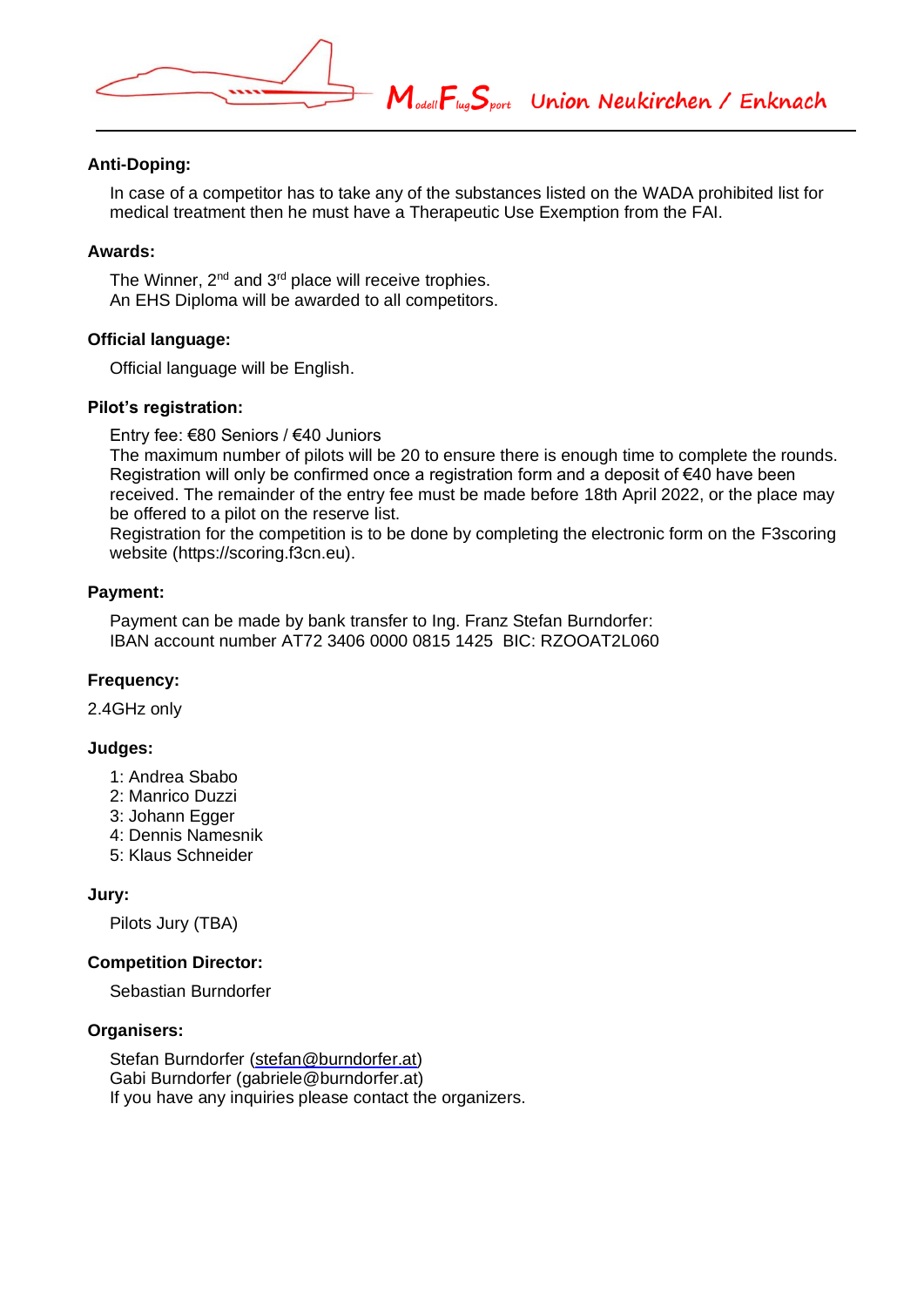$M_{odd}F_{lag}S_{port}$  Union Neukirchen / Enknach

## **Anti-Doping:**

In case of a competitor has to take any of the substances listed on the WADA prohibited list for medical treatment then he must have a Therapeutic Use Exemption from the FAI.

#### **Awards:**

The Winner,  $2^{nd}$  and  $3^{rd}$  place will receive trophies. An EHS Diploma will be awarded to all competitors.

#### **Official language:**

Official language will be English.

#### **Pilot's registration:**

Entry fee: €80 Seniors / €40 Juniors

The maximum number of pilots will be 20 to ensure there is enough time to complete the rounds. Registration will only be confirmed once a registration form and a deposit of €40 have been received. The remainder of the entry fee must be made before 18th April 2022, or the place may be offered to a pilot on the reserve list.

Registration for the competition is to be done by completing the electronic form on the F3scoring website (https://scoring.f3cn.eu).

#### **Payment:**

Payment can be made by bank transfer to Ing. Franz Stefan Burndorfer: IBAN account number AT72 3406 0000 0815 1425 BIC: RZOOAT2L060

# **Frequency:**

2.4GHz only

# **Judges:**

- 1: Andrea Sbabo
- 2: Manrico Duzzi
- 3: Johann Egger
- 4: Dennis Namesnik
- 5: Klaus Schneider

# **Jury:**

Pilots Jury (TBA)

# **Competition Director:**

Sebastian Burndorfer

#### **Organisers:**

Stefan Burndorfer (stefan@burndorfer.at) Gabi Burndorfer (gabriele@burndorfer.at) If you have any inquiries please contact the organizers.